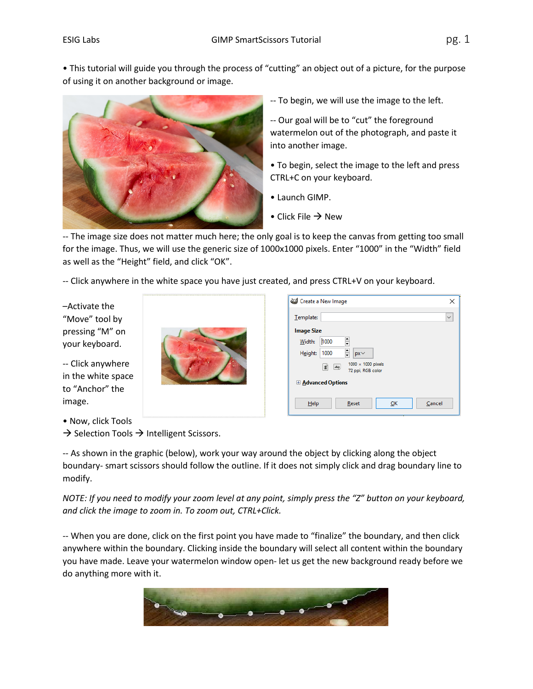• This tutorial will guide you through the process of "cutting" an object out of a picture, for the purpose of using it on another background or image.



-- To begin, we will use the image to the left.

-- Our goal will be to "cut" the foreground watermelon out of the photograph, and paste it into another image.

• To begin, select the image to the left and press CTRL+C on your keyboard.

- Launch GIMP.
- Click File  $\rightarrow$  New

-- The image size does not matter much here; the only goal is to keep the canvas from getting too small for the image. Thus, we will use the generic size of 1000x1000 pixels. Enter "1000" in the "Width" field as well as the "Height" field, and click "OK".

-- Click anywhere in the white space you have just created, and press CTRL+V on your keyboard.

–Activate the "Move" tool by pressing "M" on your keyboard.

-- Click anywhere in the white space to "Anchor" the image.

• Now, click Tools

 $\rightarrow$  Selection Tools  $\rightarrow$  Intelligent Scissors.

-- As shown in the graphic (below), work your way around the object by clicking along the object boundary- smart scissors should follow the outline. If it does not simply click and drag boundary line to modify.

*NOTE: If you need to modify your zoom level at any point, simply press the "Z" button on your keyboard, and click the image to zoom in. To zoom out, CTRL+Click.*

-- When you are done, click on the first point you have made to "finalize" the boundary, and then click anywhere within the boundary. Clicking inside the boundary will select all content within the boundary you have made. Leave your watermelon window open- let us get the new background ready before we do anything more with it.



| Create a New Image        | ×                                                                 |  |  |  |  |
|---------------------------|-------------------------------------------------------------------|--|--|--|--|
| Template:                 | $\checkmark$                                                      |  |  |  |  |
| <b>Image Size</b>         |                                                                   |  |  |  |  |
| Width:                    | $\frac{1}{\mathbf{v}}$<br>1000                                    |  |  |  |  |
| Height:                   | ÷<br>1000<br>$px \vee$                                            |  |  |  |  |
|                           | 1000 × 1000 pixels<br>£Ì<br>$\blacktriangle$<br>72 ppi, RGB color |  |  |  |  |
| <b>E Advanced Options</b> |                                                                   |  |  |  |  |
| $He$ lp                   | Reset<br>OK<br>Cancel                                             |  |  |  |  |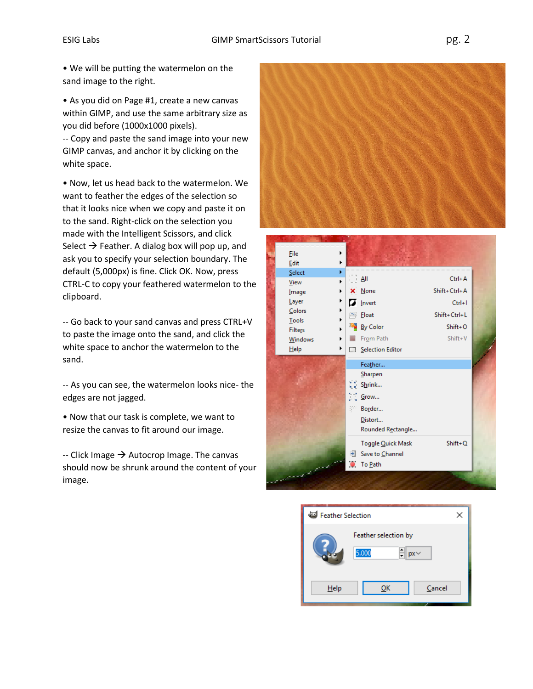• As you did on Page #1, create a new canvas within GIMP, and use the same arbitrary size as you did before (1000x1000 pixels).

-- Copy and paste the sand image into your new GIMP canvas, and anchor it by clicking on the white space.

• Now, let us head back to the watermelon. We want to feather the edges of the selection so that it looks nice when we copy and paste it on to the sand. Right-click on the selection you made with the Intelligent Scissors, and click Select  $\rightarrow$  Feather. A dialog box will pop up, and ask you to specify your selection boundary. The default (5,000px) is fine. Click OK. Now, press CTRL-C to copy your feathered watermelon to the clipboard.

-- Go back to your sand canvas and press CTRL+V to paste the image onto the sand, and click the white space to anchor the watermelon to the sand.

-- As you can see, the watermelon looks nice- the edges are not jagged.

• Now that our task is complete, we want to resize the canvas to fit around our image.

 $-$  Click Image  $\rightarrow$  Autocrop Image. The canvas should now be shrunk around the content of your image.





| Feather Selection |                                                 |  |
|-------------------|-------------------------------------------------|--|
|                   | Feather selection by<br>ᆂ<br>5.000<br>$px \vee$ |  |
| Help              | Cancel<br>ок                                    |  |